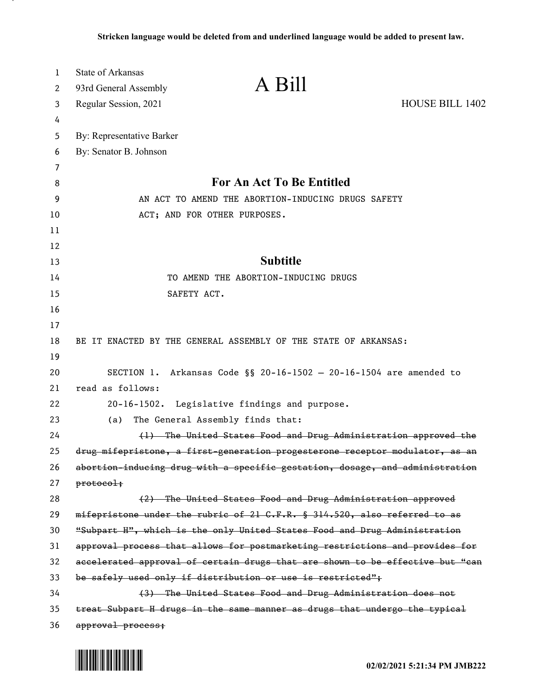| $\mathbf{1}$ | <b>State of Arkansas</b>  |                                                                               |                        |
|--------------|---------------------------|-------------------------------------------------------------------------------|------------------------|
| 2            | 93rd General Assembly     | A Bill                                                                        |                        |
| 3            | Regular Session, 2021     |                                                                               | <b>HOUSE BILL 1402</b> |
| 4            |                           |                                                                               |                        |
| 5            | By: Representative Barker |                                                                               |                        |
| 6            | By: Senator B. Johnson    |                                                                               |                        |
| 7            |                           |                                                                               |                        |
| 8            |                           | For An Act To Be Entitled                                                     |                        |
| 9            |                           | AN ACT TO AMEND THE ABORTION-INDUCING DRUGS SAFETY                            |                        |
| 10           |                           | ACT; AND FOR OTHER PURPOSES.                                                  |                        |
| 11           |                           |                                                                               |                        |
| 12           |                           |                                                                               |                        |
| 13           |                           | <b>Subtitle</b>                                                               |                        |
| 14           |                           | TO AMEND THE ABORTION-INDUCING DRUGS                                          |                        |
| 15           | SAFETY ACT.               |                                                                               |                        |
| 16           |                           |                                                                               |                        |
| 17           |                           |                                                                               |                        |
| 18           |                           | BE IT ENACTED BY THE GENERAL ASSEMBLY OF THE STATE OF ARKANSAS:               |                        |
| 19           |                           |                                                                               |                        |
| 20<br>21     | read as follows:          | SECTION 1. Arkansas Code §§ 20-16-1502 - 20-16-1504 are amended to            |                        |
| 22           |                           |                                                                               |                        |
| 23           |                           | 20-16-1502. Legislative findings and purpose.                                 |                        |
| 24           | (a)                       | The General Assembly finds that:                                              |                        |
| 25           |                           | (1) The United States Food and Drug Administration approved the               |                        |
| 26           |                           | drug mifepristone, a first-generation progesterone receptor modulator, as an  |                        |
| 27           | protocol:                 | abortion-inducing drug with a specific gestation, dosage, and administration  |                        |
| 28           |                           | (2) The United States Food and Drug Administration approved                   |                        |
| 29           |                           | mifepristone under the rubric of 21 G.F.R. § 314.520, also referred to as     |                        |
| 30           |                           | "Subpart H", which is the only United States Food and Drug Administration     |                        |
| 31           |                           | approval process that allows for postmarketing restrictions and provides for  |                        |
| 32           |                           | accelerated approval of certain drugs that are shown to be effective but "can |                        |
| 33           |                           | be safely used only if distribution or use is restricted";                    |                        |
| 34           |                           | (3) The United States Food and Drug Administration does not                   |                        |
| 35           |                           | treat Subpart H drugs in the same manner as drugs that undergo the typical    |                        |
| 36           | approval process;         |                                                                               |                        |

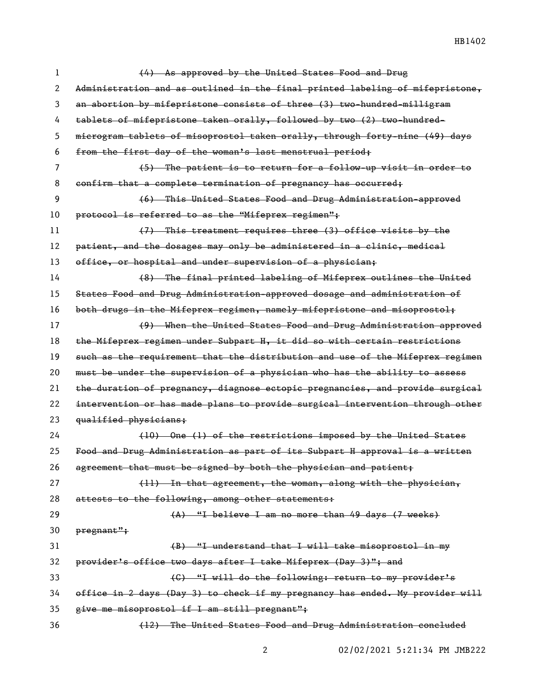HB1402

| 1  | (4) As approved by the United States Food and Drug                            |
|----|-------------------------------------------------------------------------------|
| 2  | Administration and as outlined in the final printed labeling of mifepristone, |
| 3  | an abortion by mifepristone consists of three (3) two-hundred-milligram       |
| 4  | tablets of mifepristone taken orally, followed by two (2) two hundred-        |
| 5  | microgram tablets of misoprostol taken orally, through forty-nine (49) days   |
| 6  | from the first day of the woman's last menstrual period;                      |
| 7  | (5) The patient is to return for a follow-up visit in order to                |
| 8  | confirm that a complete termination of pregnancy has occurred;                |
| 9  | (6) This United States Food and Drug Administration-approved                  |
| 10 | protocol is referred to as the "Mifeprex regimen";                            |
| 11 | (7) This treatment requires three (3) office visits by the                    |
| 12 | patient, and the dosages may only be administered in a clinic, medical        |
| 13 | office, or hospital and under supervision of a physician;                     |
| 14 | (8) The final printed labeling of Mifeprex outlines the United                |
| 15 | States Food and Drug Administration-approved dosage and administration of     |
| 16 | both drugs in the Mifeprex regimen, namely mifepristone and misoprostol;      |
| 17 | (9) When the United States Food and Drug Administration approved              |
| 18 | the Mifeprex regimen under Subpart H, it did so with certain restrictions     |
| 19 | such as the requirement that the distribution and use of the Mifeprex regimen |
| 20 | must be under the supervision of a physician who has the ability to assess    |
| 21 | the duration of pregnancy, diagnose ectopic pregnancies, and provide surgical |
| 22 | intervention or has made plans to provide surgical intervention through other |
| 23 | qualified physicians;                                                         |
| 24 | (10) One (1) of the restrictions imposed by the United States                 |
| 25 | Food and Drug Administration as part of its Subpart H approval is a written   |
| 26 | agreement that must be signed by both the physician and patient;              |
| 27 | (11) In that agreement, the woman, along with the physician,                  |
| 28 | attests to the following, among other statements:                             |
| 29 | (A) "I believe I am no more than 49 days (7 weeks)                            |
| 30 | pregnant";                                                                    |
| 31 | (B) "I understand that I will take misoprostol in my                          |
| 32 | provider's office two days after I take Mifeprex (Day 3)"; and                |
| 33 | (C) "I will do the following: return to my provider's                         |
| 34 | office in 2 days (Day 3) to check if my pregnancy has ended. My provider will |
| 35 | give me misoprostol if I am still pregnant";                                  |
| 36 | (12) The United States Food and Drug Administration concluded                 |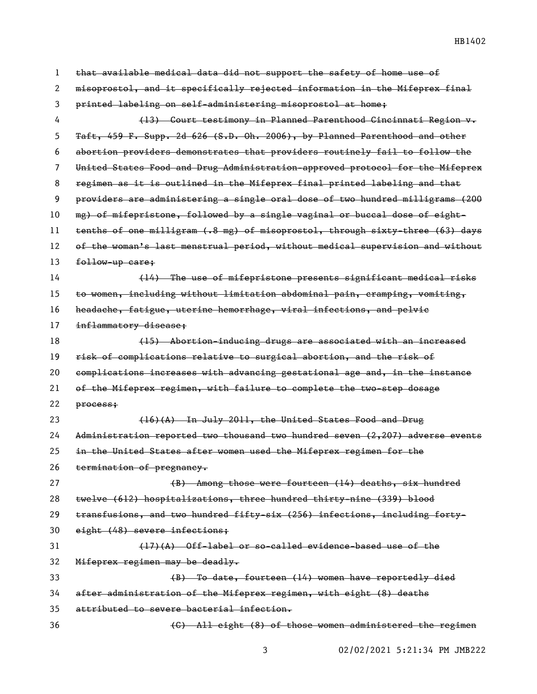| 1  | that available medical data did not support the safety of home use of         |
|----|-------------------------------------------------------------------------------|
| 2  | misoprostol, and it specifically rejected information in the Mifeprex final   |
| 3  | printed labeling on self-administering misoprostol at home;                   |
| 4  | (13) Court testimony in Planned Parenthood Cincinnati Region v.               |
| 5  | Taft, 459 F. Supp. 2d 626 (S.D. Oh. 2006), by Planned Parenthood and other    |
| 6  | abortion providers demonstrates that providers routinely fail to follow the   |
| 7  | United States Food and Drug Administration approved protocol for the Mifeprex |
| 8  | regimen as it is outlined in the Mifeprex final printed labeling and that     |
| 9  | providers are administering a single oral dose of two hundred milligrams (200 |
| 10 | mg) of mifepristone, followed by a single vaginal or buccal dose of eight-    |
| 11 | tenths of one milligram (.8 mg) of misoprostol, through sixty-three (63) days |
| 12 | of the woman's last menstrual period, without medical supervision and without |
| 13 | follow-up care;                                                               |
| 14 | (14) The use of mifepristone presents significant medical risks               |
| 15 | to women, including without limitation abdominal pain, cramping, vomiting,    |
| 16 | headache, fatigue, uterine hemorrhage, viral infections, and pelvic           |
| 17 | inflammatory disease;                                                         |
| 18 | (15) Abortion-inducing drugs are associated with an increased                 |
| 19 | risk of complications relative to surgical abortion, and the risk of          |
| 20 | complications increases with advancing gestational age and, in the instance   |
| 21 | of the Mifeprex regimen, with failure to complete the two-step dosage         |
| 22 | process:                                                                      |
| 23 | $(16)(A)$ In July 2011, the United States Food and Drug                       |
| 24 | Administration reported two thousand two hundred seven (2,207) adverse events |
| 25 | in the United States after women used the Mifeprex regimen for the            |
| 26 | termination of pregnancy.                                                     |
| 27 | (B) Among those were fourteen (14) deaths, six hundred                        |
| 28 | twelve (612) hospitalizations, three hundred thirty-nine (339) blood          |
| 29 | transfusions, and two hundred fifty-six (256) infections, including forty-    |
| 30 | eight (48) severe infections;                                                 |
| 31 | $(17)(A)$ Off-label or so-called evidence-based use of the                    |
| 32 | Mifeprex regimen may be deadly.                                               |
| 33 | (B) To date, fourteen (14) women have reportedly died                         |
| 34 | after administration of the Mifeprex regimen, with eight (8) deaths           |
| 35 | attributed to severe bacterial infection.                                     |
| 36 | (C) All eight (8) of those women administered the regimen                     |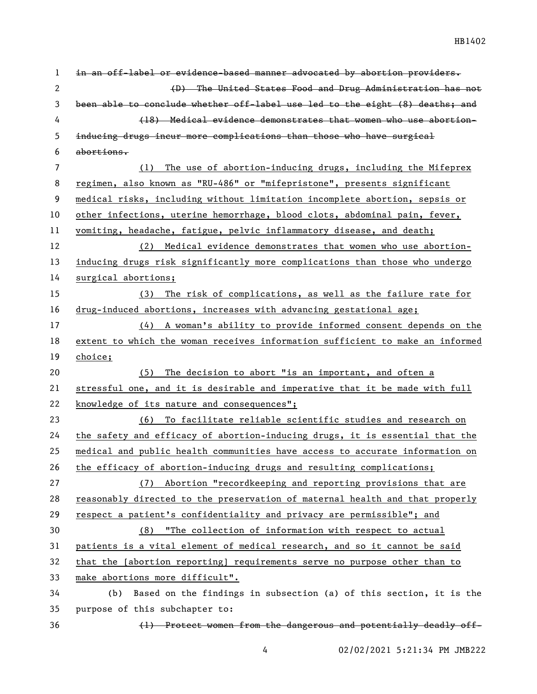HB1402

| 1              | in an off-label or evidence-based manner advocated by abortion providers.     |
|----------------|-------------------------------------------------------------------------------|
| $\mathbf{2}$   | (D) The United States Food and Drug Administration has not                    |
| 3              | been able to conclude whether off-label use led to the eight (8) deaths; and  |
| 4              | (18) Medical evidence demonstrates that women who use abortion-               |
| 5              | inducing drugs incur more complications than those who have surgical          |
| 6              | abortions.                                                                    |
| $\overline{7}$ | The use of abortion-inducing drugs, including the Mifeprex<br>(1)             |
| 8              | regimen, also known as "RU-486" or "mifepristone", presents significant       |
| 9              | medical risks, including without limitation incomplete abortion, sepsis or    |
| 10             | other infections, uterine hemorrhage, blood clots, abdominal pain, fever,     |
| 11             | vomiting, headache, fatigue, pelvic inflammatory disease, and death;          |
| 12             | (2) Medical evidence demonstrates that women who use abortion-                |
| 13             | inducing drugs risk significantly more complications than those who undergo   |
| 14             | surgical abortions;                                                           |
| 15             | The risk of complications, as well as the failure rate for<br>(3)             |
| 16             | drug-induced abortions, increases with advancing gestational age;             |
| 17             | (4) A woman's ability to provide informed consent depends on the              |
| 18             | extent to which the woman receives information sufficient to make an informed |
|                |                                                                               |
| 19             | choice;                                                                       |
| 20             | (5) The decision to abort "is an important, and often a                       |
| 21             | stressful one, and it is desirable and imperative that it be made with full   |
| 22             | knowledge of its nature and consequences";                                    |
| 23             | (6) To facilitate reliable scientific studies and research on                 |
| 24             | the safety and efficacy of abortion-inducing drugs, it is essential that the  |
| 25             | medical and public health communities have access to accurate information on  |
| 26             | the efficacy of abortion-inducing drugs and resulting complications;          |
| 27             | Abortion "recordkeeping and reporting provisions that are<br>(7)              |
| 28             | reasonably directed to the preservation of maternal health and that properly  |
| 29             | respect a patient's confidentiality and privacy are permissible"; and         |
| 30             | (8) "The collection of information with respect to actual                     |
| 31             | patients is a vital element of medical research, and so it cannot be said     |
| 32             | that the [abortion reporting] requirements serve no purpose other than to     |
| 33             | make abortions more difficult".                                               |
| 34             | Based on the findings in subsection (a) of this section, it is the<br>(b)     |
| 35             | purpose of this subchapter to:                                                |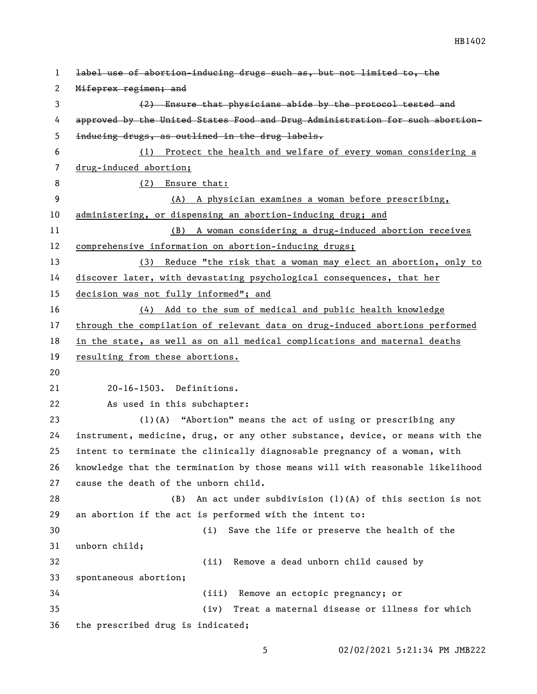| 1  | label use of abortion-inducing drugs such as, but not limited to, the         |
|----|-------------------------------------------------------------------------------|
| 2  | Mifeprex regimen; and                                                         |
| 3  | (2) Ensure that physicians abide by the protocol tested and                   |
| 4  | approved by the United States Food and Drug Administration for such abortion- |
| 5  | inducing drugs, as outlined in the drug labels.                               |
| 6  | Protect the health and welfare of every woman considering a<br>(1)            |
| 7  | drug-induced abortion;                                                        |
| 8  | (2) Ensure that:                                                              |
| 9  | (A) A physician examines a woman before prescribing,                          |
| 10 | administering, or dispensing an abortion-inducing drug; and                   |
| 11 | (B) A woman considering a drug-induced abortion receives                      |
| 12 | comprehensive information on abortion-inducing drugs;                         |
| 13 | (3) Reduce "the risk that a woman may elect an abortion, only to              |
| 14 | discover later, with devastating psychological consequences, that her         |
| 15 | decision was not fully informed"; and                                         |
| 16 | (4) Add to the sum of medical and public health knowledge                     |
| 17 | through the compilation of relevant data on drug-induced abortions performed  |
| 18 | in the state, as well as on all medical complications and maternal deaths     |
| 19 | resulting from these abortions.                                               |
| 20 |                                                                               |
| 21 | 20-16-1503. Definitions.                                                      |
| 22 | As used in this subchapter:                                                   |
| 23 | (1)(A) "Abortion" means the act of using or prescribing any                   |
| 24 | instrument, medicine, drug, or any other substance, device, or means with the |
| 25 | intent to terminate the clinically diagnosable pregnancy of a woman, with     |
| 26 | knowledge that the termination by those means will with reasonable likelihood |
| 27 | cause the death of the unborn child.                                          |
| 28 | An act under subdivision (1)(A) of this section is not<br>(B)                 |
| 29 | an abortion if the act is performed with the intent to:                       |
| 30 | Save the life or preserve the health of the<br>(i)                            |
| 31 | unborn child;                                                                 |
| 32 | Remove a dead unborn child caused by<br>(ii)                                  |
| 33 | spontaneous abortion;                                                         |
| 34 | (iii) Remove an ectopic pregnancy; or                                         |
| 35 | (iv)<br>Treat a maternal disease or illness for which                         |
| 36 | the prescribed drug is indicated;                                             |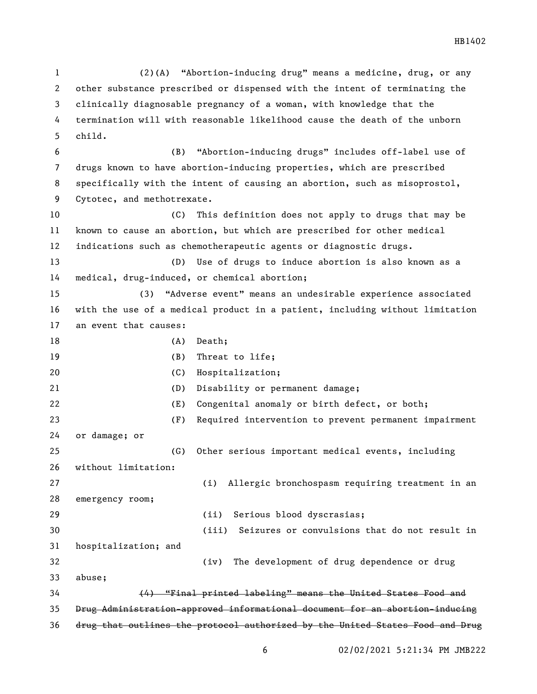(2)(A) "Abortion-inducing drug" means a medicine, drug, or any other substance prescribed or dispensed with the intent of terminating the clinically diagnosable pregnancy of a woman, with knowledge that the termination will with reasonable likelihood cause the death of the unborn child. (B) "Abortion-inducing drugs" includes off-label use of drugs known to have abortion-inducing properties, which are prescribed specifically with the intent of causing an abortion, such as misoprostol, Cytotec, and methotrexate. (C) This definition does not apply to drugs that may be known to cause an abortion, but which are prescribed for other medical indications such as chemotherapeutic agents or diagnostic drugs. (D) Use of drugs to induce abortion is also known as a medical, drug-induced, or chemical abortion; (3) "Adverse event" means an undesirable experience associated with the use of a medical product in a patient, including without limitation an event that causes: 18 (A) Death; 19 (B) Threat to life; (C) Hospitalization; (D) Disability or permanent damage; (E) Congenital anomaly or birth defect, or both; (F) Required intervention to prevent permanent impairment or damage; or (G) Other serious important medical events, including without limitation: (i) Allergic bronchospasm requiring treatment in an emergency room; (ii) Serious blood dyscrasias; (iii) Seizures or convulsions that do not result in hospitalization; and (iv) The development of drug dependence or drug abuse; (4) "Final printed labeling" means the United States Food and Drug Administration-approved informational document for an abortion-inducing drug that outlines the protocol authorized by the United States Food and Drug

02/02/2021 5:21:34 PM JMB222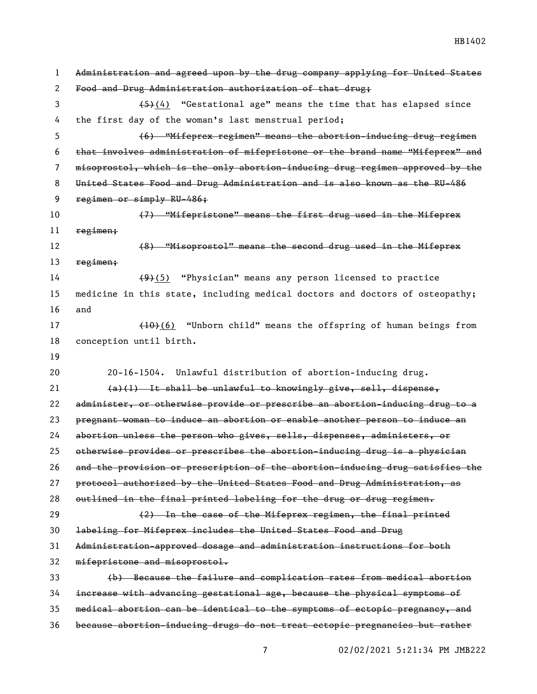Administration and agreed upon by the drug company applying for United States Food and Drug Administration authorization of that drug;  $(5)(4)$  "Gestational age" means the time that has elapsed since the first day of the woman's last menstrual period; (6) "Mifeprex regimen" means the abortion-inducing drug regimen that involves administration of mifepristone or the brand name "Mifeprex" and misoprostol, which is the only abortion-inducing drug regimen approved by the United States Food and Drug Administration and is also known as the RU-486 9 regimen or simply RU-486; (7) "Mifepristone" means the first drug used in the Mifeprex regimen; (8) "Misoprostol" means the second drug used in the Mifeprex 13 regimen;  $(9)(5)$  "Physician" means any person licensed to practice medicine in this state, including medical doctors and doctors of osteopathy; and 17 (10)(6) "Unborn child" means the offspring of human beings from conception until birth. 20-16-1504. Unlawful distribution of abortion-inducing drug.  $(a)(1)$  It shall be unlawful to knowingly give, sell, dispense, administer, or otherwise provide or prescribe an abortion-inducing drug to a pregnant woman to induce an abortion or enable another person to induce an abortion unless the person who gives, sells, dispenses, administers, or otherwise provides or prescribes the abortion-inducing drug is a physician and the provision or prescription of the abortion-inducing drug satisfies the protocol authorized by the United States Food and Drug Administration, as 28 outlined in the final printed labeling for the drug or drug regimen.  $(2)$  In the case of the Mifeprex regimen, the final printed labeling for Mifeprex includes the United States Food and Drug Administration-approved dosage and administration instructions for both mifepristone and misoprostol. (b) Because the failure and complication rates from medical abortion increase with advancing gestational age, because the physical symptoms of medical abortion can be identical to the symptoms of ectopic pregnancy, and because abortion-inducing drugs do not treat ectopic pregnancies but rather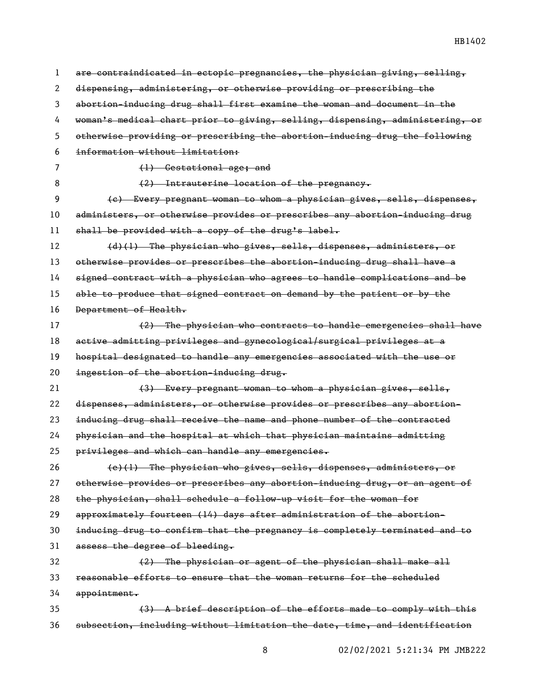| 1  | are contraindicated in ectopic pregnancies, the physician giving, selling,    |
|----|-------------------------------------------------------------------------------|
| 2  | dispensing, administering, or otherwise providing or prescribing the          |
| 3  | abortion-inducing drug shall first examine the woman and document in the      |
| 4  | woman's medical chart prior to giving, selling, dispensing, administering, or |
| 5  | otherwise providing or prescribing the abortion-inducing drug the following   |
| 6  | information without limitation:                                               |
| 7  | (1) Gestational age; and                                                      |
| 8  | (2) Intrauterine location of the pregnancy.                                   |
| 9  | (e) Every pregnant woman to whom a physician gives, sells, dispenses,         |
| 10 | administers, or otherwise provides or prescribes any abortion-inducing drug   |
| 11 | shall be provided with a copy of the drug's label.                            |
| 12 | (d)(1) The physician who gives, sells, dispenses, administers, or             |
| 13 | otherwise provides or prescribes the abortion-inducing drug shall have a      |
| 14 | signed contract with a physician who agrees to handle complications and be    |
| 15 | able to produce that signed contract on demand by the patient or by the       |
| 16 | Department of Health.                                                         |
| 17 | (2) The physician who contracts to handle emergencies shall have              |
| 18 | active admitting privileges and gynecological/surgical privileges at a        |
| 19 | hospital designated to handle any emergencies associated with the use or      |
| 20 | ingestion of the abortion-inducing drug.                                      |
| 21 | (3) Every pregnant woman to whom a physician gives, sells,                    |
| 22 | dispenses, administers, or otherwise provides or prescribes any abortion-     |
| 23 | inducing drug shall receive the name and phone number of the contracted       |
| 24 | physician and the hospital at which that physician maintains admitting        |
| 25 | privileges and which can handle any emergencies.                              |
| 26 | (e)(1) The physician who gives, sells, dispenses, administers, or             |
| 27 | otherwise provides or prescribes any abortion-inducing drug, or an agent of   |
| 28 | the physician, shall schedule a follow-up visit for the woman for             |
| 29 | approximately fourteen (14) days after administration of the abortion-        |
| 30 | inducing drug to confirm that the pregnancy is completely terminated and to   |
| 31 | assess the degree of bleeding.                                                |
| 32 | (2) The physician or agent of the physician shall make all                    |
| 33 | reasonable efforts to ensure that the woman returns for the scheduled         |
| 34 | appointment.                                                                  |
| 35 | (3) A brief description of the efforts made to comply with this               |
| 36 | subsection, including without limitation the date, time, and identification   |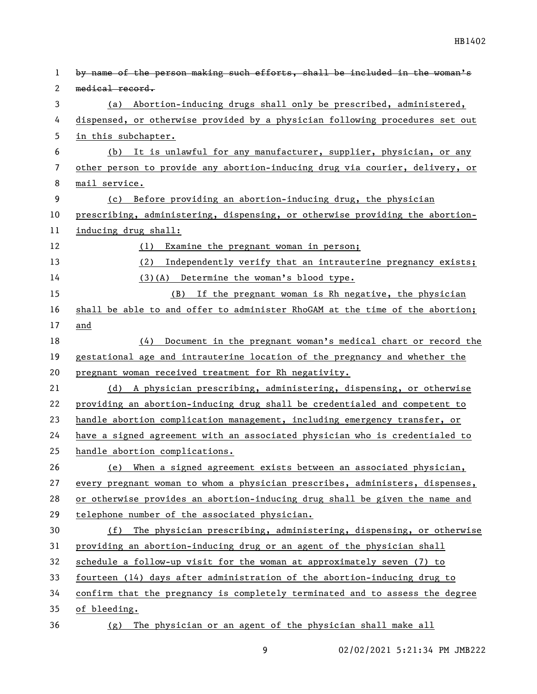| 1  | by name of the person making such efforts, shall be included in the woman's  |
|----|------------------------------------------------------------------------------|
| 2  | medical record.                                                              |
| 3  | (a) Abortion-inducing drugs shall only be prescribed, administered,          |
| 4  | dispensed, or otherwise provided by a physician following procedures set out |
| 5  | in this subchapter.                                                          |
| 6  | (b) It is unlawful for any manufacturer, supplier, physician, or any         |
| 7  | other person to provide any abortion-inducing drug via courier, delivery, or |
| 8  | mail service.                                                                |
| 9  | (c) Before providing an abortion-inducing drug, the physician                |
| 10 | prescribing, administering, dispensing, or otherwise providing the abortion- |
| 11 | inducing drug shall:                                                         |
| 12 | (1)<br>Examine the pregnant woman in person;                                 |
| 13 | (2)<br>Independently verify that an intrauterine pregnancy exists;           |
| 14 | $(3)(A)$ Determine the woman's blood type.                                   |
| 15 | (B) If the pregnant woman is Rh negative, the physician                      |
| 16 | shall be able to and offer to administer RhoGAM at the time of the abortion; |
| 17 | and                                                                          |
| 18 | Document in the pregnant woman's medical chart or record the<br>(4)          |
| 19 | gestational age and intrauterine location of the pregnancy and whether the   |
| 20 | pregnant woman received treatment for Rh negativity.                         |
| 21 | (d) A physician prescribing, administering, dispensing, or otherwise         |
| 22 | providing an abortion-inducing drug shall be credentialed and competent to   |
| 23 | handle abortion complication management, including emergency transfer, or    |
| 24 | have a signed agreement with an associated physician who is credentialed to  |
| 25 | handle abortion complications.                                               |
| 26 | (e) When a signed agreement exists between an associated physician,          |
| 27 | every pregnant woman to whom a physician prescribes, administers, dispenses, |
| 28 | or otherwise provides an abortion-inducing drug shall be given the name and  |
| 29 | telephone number of the associated physician.                                |
| 30 | The physician prescribing, administering, dispensing, or otherwise<br>(f)    |
| 31 | providing an abortion-inducing drug or an agent of the physician shall       |
| 32 | schedule a follow-up visit for the woman at approximately seven (7) to       |
| 33 | fourteen (14) days after administration of the abortion-inducing drug to     |
| 34 | confirm that the pregnancy is completely terminated and to assess the degree |
| 35 | of bleeding.                                                                 |
| 36 | The physician or an agent of the physician shall make all<br>(g)             |

9 02/02/2021 5:21:34 PM JMB222